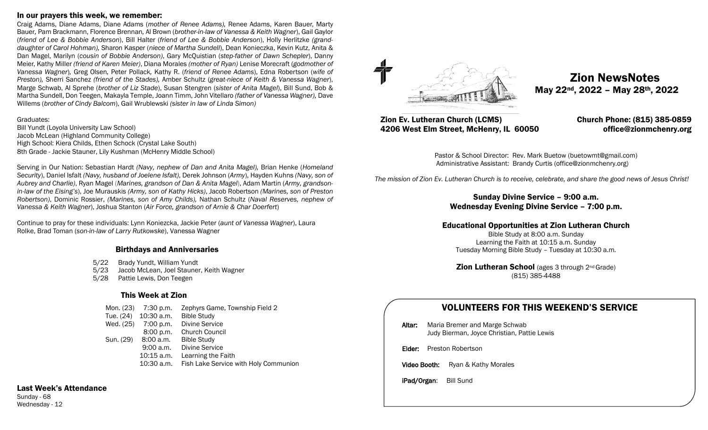#### In our prayers this week, we remember:

Craig Adams, Diane Adams, Diane Adams (*mother of Renee Adams),* Renee Adams, Karen Bauer, Marty Bauer*,* Pam Brackmann, Florence Brennan*,* Al Brown (*brother-in-law of Vanessa & Keith Wagner*), Gail Gaylor (*friend of Lee & Bobbie Anderson*), Bill Halter (*friend of Lee & Bobbie Anderson*), Holly Herlitzke *(granddaughter of Carol Hohman),* Sharon Kasper (*niece of Martha Sundell*), Dean Konieczka, Kevin Kutz, Anita & Dan Magel, Marilyn (*cousin of Bobbie Anderson)*, Gary McQuistian (*step-father of Dawn Schepler*), Danny Meier, Kathy Miller *(friend of Karen Meier)*, Diana Morales *(mother of Ryan)* Lenise Morecraft (*godmother of Vanessa Wagner*)*,* Greg Olsen*,* Peter Pollack*,* Kathy R. (*friend of Renee Adams*), Edna Robertson (*wife of Preston),* Sherri Sanchez *(friend of the Stades),* Amber Schultz (*great-niece of Keith & Vanessa Wagner*), Marge Schwab, Al Sprehe (*brother of Liz Stade*), Susan Stengren (*sister of Anita Magel*), Bill Sund, Bob & Martha Sundell, Don Teegen, Makayla Temple, Joann Timm, John Vitellaro *(father of Vanessa Wagner),* Dave Willems (*brother of Cindy Balcom*), Gail Wrublewski *(sister in law of Linda Simon)*

Graduates:

Bill Yundt (Loyola University Law School) Jacob McLean (Highland Community College) High School: Kiera Childs, Ethen Schock (Crystal Lake South) 8th Grade - Jackie Stauner, Lily Kushman (McHenry Middle School)

Serving in Our Nation: Sebastian Hardt *(Navy, nephew of Dan and Anita Magel),* Brian Henke (*Homeland Security*), Daniel Isfalt *(Navy, husband of Joelene Isfalt)*, Derek Johnson (*Army*), Hayden Kuhns *(Navy, son of Aubrey and Charlie)*, Ryan Magel (*Marines, grandson of Dan & Anita Magel*), Adam Martin (*Army, grandsonin-law of the Eising's*), Joe Murauskis *(Army, son of Kathy Hicks)*, Jacob Robertson *(Marines, son of Preston Robertson)*, Dominic Rossier, *(Marines, son of Amy Childs),* Nathan Schultz (*Naval Reserves, nephew of Vanessa & Keith Wagner*), Joshua Stanton (*Air Force, grandson of Arnie & Char Doerfert*)

Continue to pray for these individuals: Lynn Koniezcka, Jackie Peter (*aunt of Vanessa Wagner*), Laura Rolke, Brad Toman (*son-in-law of Larry Rutkowske*), Vanessa Wagner

#### Birthdays and Anniversaries

- 5/22 Brady Yundt, William Yundt
- 5/23 Jacob McLean, Joel Stauner, Keith Wagner
- 5/28 Pattie Lewis, Don Teegen

### This Week at Zion

|           | Mon. (23) 7:30 p.m.  | Zephyrs Game, Township Field 2        |
|-----------|----------------------|---------------------------------------|
|           | Tue. (24) 10:30 a.m. | <b>Bible Study</b>                    |
| Wed. (25) | 7:00 p.m.            | Divine Service                        |
|           | 8:00 p.m.            | <b>Church Council</b>                 |
| Sun. (29) | 8:00 a.m.            | <b>Bible Study</b>                    |
|           | 9:00 a.m.            | Divine Service                        |
|           | 10:15 a.m.           | Learning the Faith                    |
|           | 10:30 a.m.           | Fish Lake Service with Holy Communion |

## Last Week's Attendance

Sunday - 68 Wednesday - 12



**Zion NewsNotes**<br>May 22<sup>nd</sup>, 2022 – May 28<sup>th</sup>, 2022

## Zion Ev. Lutheran Church (LCMS) Church Phone: (815) 385-0859 4206 West Elm Street, McHenry, IL 60050 office@zionmchenry.org

Pastor & School Director: Rev. Mark Buetow (buetowmt@gmail.com) Administrative Assistant: Brandy Curtis (office@zionmchenry.org)

 *The mission of Zion Ev. Lutheran Church is to receive, celebrate, and share the good news of Jesus Christ!*

### Sunday Divine Service – 9:00 a.m. Wednesday Evening Divine Service – 7:00 p.m.

## Educational Opportunities at Zion Lutheran Church

Bible Study at 8:00 a.m. Sunday Learning the Faith at 10:15 a.m. Sunday Tuesday Morning Bible Study – Tuesday at 10:30 a.m.

**Zion Lutheran School** (ages 3 through 2<sup>nd</sup> Grade) (815) 385-4488

# VOLUNTEERS FOR THIS WEEKEND'S SERVICE

Altar: Maria Bremer and Marge Schwab Judy Bierman, Joyce Christian, Pattie Lewis

Elder: Preston Robertson

Video Booth: Ryan & Kathy Morales

iPad/Organ: Bill Sund